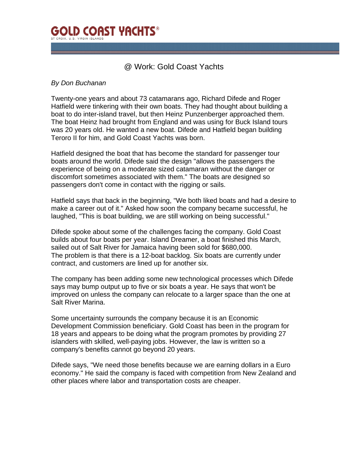

## @ Work: Gold Coast Yachts

## *By Don Buchanan*

Twenty-one years and about 73 catamarans ago, Richard Difede and Roger Hatfield were tinkering with their own boats. They had thought about building a boat to do inter-island travel, but then Heinz Punzenberger approached them. The boat Heinz had brought from England and was using for Buck Island tours was 20 years old. He wanted a new boat. Difede and Hatfield began building Teroro II for him, and Gold Coast Yachts was born.

Hatfield designed the boat that has become the standard for passenger tour boats around the world. Difede said the design "allows the passengers the experience of being on a moderate sized catamaran without the danger or discomfort sometimes associated with them." The boats are designed so passengers don't come in contact with the rigging or sails.

Hatfield says that back in the beginning, "We both liked boats and had a desire to make a career out of it." Asked how soon the company became successful, he laughed, "This is boat building, we are still working on being successful."

Difede spoke about some of the challenges facing the company. Gold Coast builds about four boats per year. Island Dreamer, a boat finished this March, sailed out of Salt River for Jamaica having been sold for \$680,000. The problem is that there is a 12-boat backlog. Six boats are currently under contract, and customers are lined up for another six.

The company has been adding some new technological processes which Difede says may bump output up to five or six boats a year. He says that won't be improved on unless the company can relocate to a larger space than the one at Salt River Marina.

Some uncertainty surrounds the company because it is an Economic Development Commission beneficiary. Gold Coast has been in the program for 18 years and appears to be doing what the program promotes by providing 27 islanders with skilled, well-paying jobs. However, the law is written so a company's benefits cannot go beyond 20 years.

Difede says, "We need those benefits because we are earning dollars in a Euro economy." He said the company is faced with competition from New Zealand and other places where labor and transportation costs are cheaper.